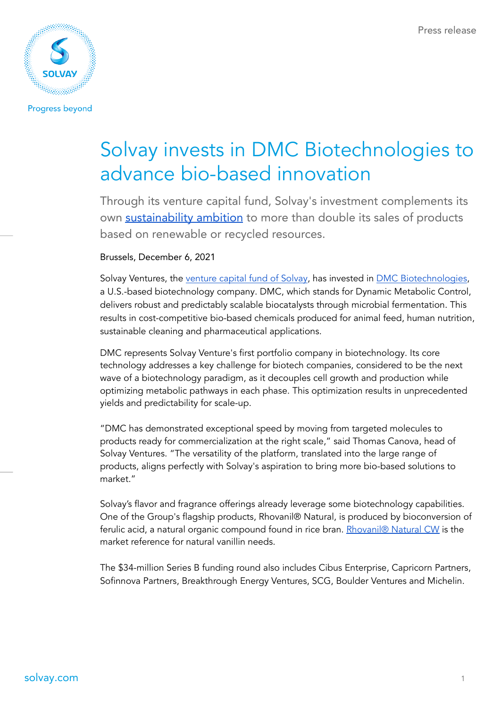

**Progress beyond** 

# Solvay invests in DMC Biotechnologies to advance bio-based innovation

Through its venture capital fund, Solvay's investment complements its own [sustainability](https://www.solvay.com/en/sustainability) ambition to more than double its sales of products based on renewable or recycled resources.

Brussels, December 6, 2021

Solvay Ventures, the [venture](https://www.solvay.com/en/innovation/solvay-ventures) capital fund of Solvay, has invested in DMC [Biotechnologies,](https://dmcbio.com/) a U.S.-based biotechnology company. DMC, which stands for Dynamic Metabolic Control, delivers robust and predictably scalable biocatalysts through microbial fermentation. This results in cost-competitive bio-based chemicals produced for animal feed, human nutrition, sustainable cleaning and pharmaceutical applications.

DMC represents Solvay Venture's first portfolio company in biotechnology. Its core technology addresses a key challenge for biotech companies, considered to be the next wave of a biotechnology paradigm, as it decouples cell growth and production while optimizing metabolic pathways in each phase. This optimization results in unprecedented yields and predictability for scale-up.

"DMC has demonstrated exceptional speed by moving from targeted molecules to products ready for commercialization at the right scale," said Thomas Canova, head of Solvay Ventures. "The versatility of the platform, translated into the large range of products, aligns perfectly with Solvay's aspiration to bring more bio-based solutions to market."

Solvay's flavor and fragrance offerings already leverage some biotechnology capabilities. One of the Group's flagship products, Rhovanil® Natural, is produced by bioconversion of ferulic acid, a natural organic compound found in rice bran. [Rhovanil®](https://www.solvay.com/en/brands/rhovanil-natural-cw) Natural CW is the market reference for natural vanillin needs.

The \$34-million Series B funding round also includes Cibus Enterprise, Capricorn Partners, Sofinnova Partners, Breakthrough Energy Ventures, SCG, Boulder Ventures and Michelin.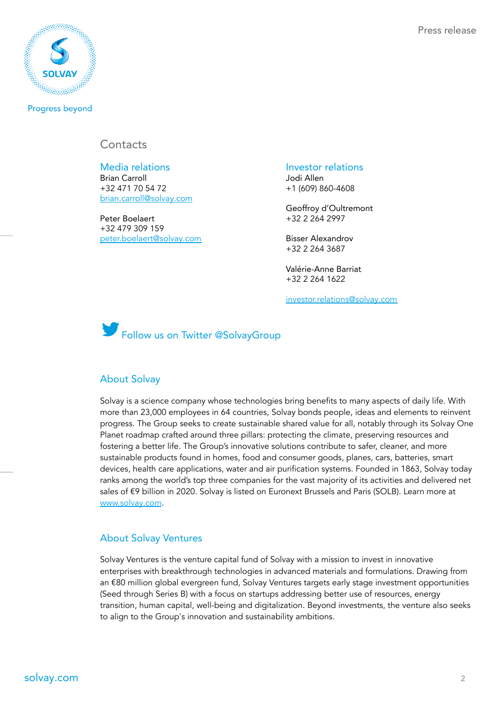

**Progress beyond** 

## **Contacts**

Media relations and a series investor relations Brian Carroll +32 471 70 54 72 [brian.carroll@solvay.com](mailto:brian.carroll@solvay.com)

Peter Boelaert +32 479 309 159 [peter.boelaert@solvay.com](mailto:peter.boelaert@solvay.com) Jodi Allen +1 (609) 860-4608

Geoffroy d'Oultremont +32 2 264 2997

Bisser Alexandrov +32 2 264 3687

Valérie-Anne Barriat +32 2 264 1622

[investor.relations@solvay.com](mailto:investor.relations@solvay.com)



#### About Solvay

Solvay is a science company whose technologies bring benefits to many aspects of daily life. With more than 23,000 employees in 64 countries, Solvay bonds people, ideas and elements to reinvent progress. The Group seeks to create sustainable shared value for all, notably through its Solvay One Planet roadmap crafted around three pillars: protecting the climate, preserving resources and fostering a better life. The Group's innovative solutions contribute to safer, cleaner, and more sustainable products found in homes, food and consumer goods, planes, cars, batteries, smart devices, health care applications, water and air purification systems. Founded in 1863, Solvay today ranks among the world's top three companies for the vast majority of its activities and delivered net sales of €9 billion in 2020. Solvay is listed on Euronext Brussels and Paris (SOLB). Learn more a[t](http://www.solvay.com/) [www.solvay.com](http://www.solvay.com).

#### About Solvay Ventures

Solvay Ventures is the venture capital fund of Solvay with a mission to invest in innovative enterprises with breakthrough technologies in advanced materials and formulations. Drawing from an €80 million global evergreen fund, Solvay Ventures targets early stage investment opportunities (Seed through Series B) with a focus on startups addressing better use of resources, energy transition, human capital, well-being and digitalization. Beyond investments, the venture also seeks to align to the Group's innovation and sustainability ambitions.